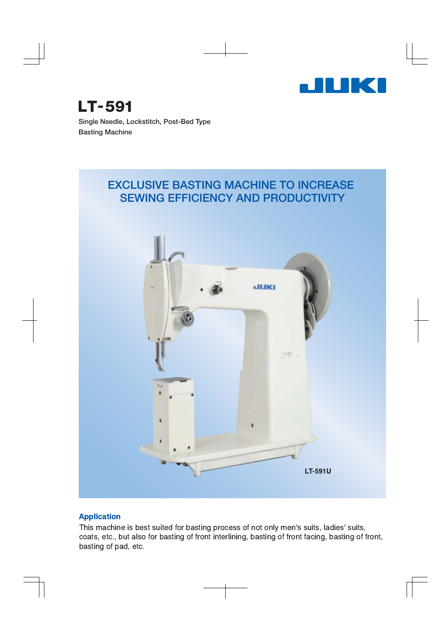

**Single Needle, Lockstitch, Post-Bed Type Basting Machine LT-591**

## **EXCLUSIVE BASTING MACHINE TO INCREASE SEWING EFFICIENCY AND PRODUCTIVITY**



### **Application**

This machine is best suited for basting process of not only men's suits, ladies' suits, coats, etc., but also for basting of front interlining, basting of front facing, basting of front, basting of pad, etc.